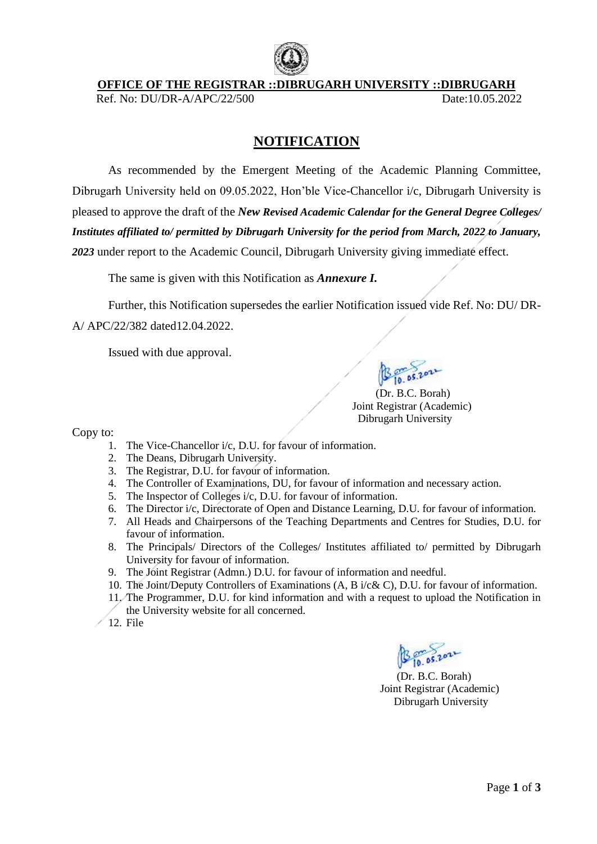

**OFFICE OF THE REGISTRAR ::DIBRUGARH UNIVERSITY ::DIBRUGARH**

Ref. No: DU/DR-A/APC/22/500 Date:10.05.2022

## **NOTIFICATION**

As recommended by the Emergent Meeting of the Academic Planning Committee, Dibrugarh University held on 09.05.2022, Hon'ble Vice-Chancellor i/c, Dibrugarh University is pleased to approve the draft of the *New Revised Academic Calendar for the General Degree Colleges/ Institutes affiliated to/ permitted by Dibrugarh University for the period from March, 2022 to January, 2023* under report to the Academic Council, Dibrugarh University giving immediate effect.

The same is given with this Notification as *Annexure I.*

Further, this Notification supersedes the earlier Notification issued vide Ref. No: DU/ DR-

A/ APC/22/382 dated12.04.2022.

Issued with due approval.

 (Dr. B.C. Borah) Joint Registrar (Academic) Dibrugarh University

Copy to:

- 1. The Vice-Chancellor i/c, D.U. for favour of information.
- 2. The Deans, Dibrugarh University.
- 3. The Registrar, D.U. for favour of information.
- 4. The Controller of Examinations, DU, for favour of information and necessary action.
- 5. The Inspector of Colleges i/c, D.U. for favour of information.
- 6. The Director i/c, Directorate of Open and Distance Learning, D.U. for favour of information.
- 7. All Heads and Chairpersons of the Teaching Departments and Centres for Studies, D.U. for favour of information.
- 8. The Principals/ Directors of the Colleges/ Institutes affiliated to/ permitted by Dibrugarh University for favour of information.
- 9. The Joint Registrar (Admn.) D.U. for favour of information and needful.
- 10. The Joint/Deputy Controllers of Examinations (A, B i/c& C), D.U. for favour of information.
- 11. The Programmer, D.U. for kind information and with a request to upload the Notification in the University website for all concerned.
- $\angle$  12. File

(Dr. B.C. Borah) Joint Registrar (Academic) Dibrugarh University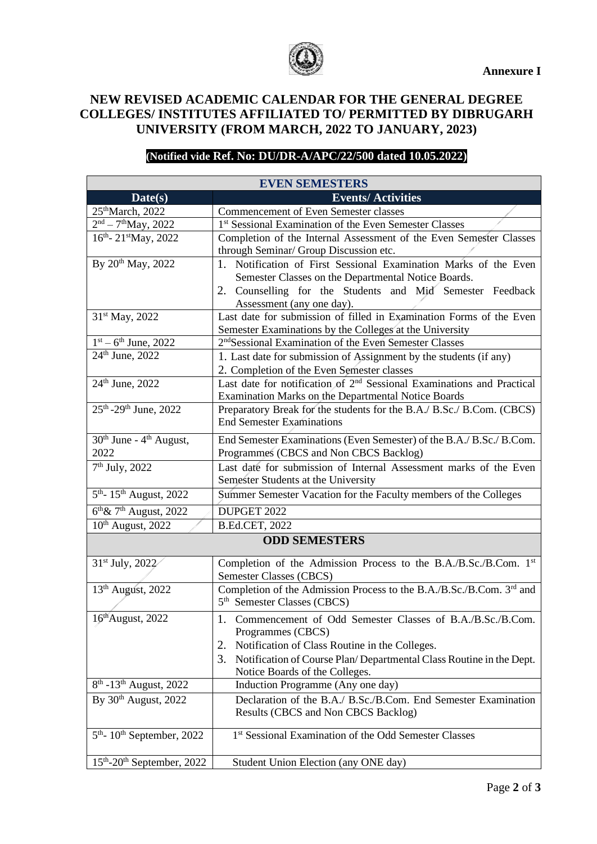

## **NEW REVISED ACADEMIC CALENDAR FOR THE GENERAL DEGREE COLLEGES/ INSTITUTES AFFILIATED TO/ PERMITTED BY DIBRUGARH UNIVERSITY (FROM MARCH, 2022 TO JANUARY, 2023)**

## **(Notified vide Ref. No: DU/DR-A/APC/22/500 dated 10.05.2022)**

| <b>EVEN SEMESTERS</b>                                   |                                                                                                                                                                                                                                                          |
|---------------------------------------------------------|----------------------------------------------------------------------------------------------------------------------------------------------------------------------------------------------------------------------------------------------------------|
| Date(s)                                                 | <b>Events/Activities</b>                                                                                                                                                                                                                                 |
| 25 <sup>th</sup> March, 2022                            | Commencement of Even Semester classes                                                                                                                                                                                                                    |
| $2nd - 7th$ May, 2022                                   | 1st Sessional Examination of the Even Semester Classes                                                                                                                                                                                                   |
| 16th-21stMay, 2022                                      | Completion of the Internal Assessment of the Even Semester Classes<br>through Seminar/ Group Discussion etc.                                                                                                                                             |
| By 20 <sup>th</sup> May, 2022                           | 1. Notification of First Sessional Examination Marks of the Even<br>Semester Classes on the Departmental Notice Boards.<br>2. Counselling for the Students and Mid Semester Feedback<br>Assessment (any one day).                                        |
| 31 <sup>st</sup> May, 2022                              | Last date for submission of filled in Examination Forms of the Even<br>Semester Examinations by the Colleges at the University                                                                                                                           |
| $1st - 6th$ June, 2022                                  | 2 <sup>nd</sup> Sessional Examination of the Even Semester Classes                                                                                                                                                                                       |
| 24th June, 2022                                         | 1. Last date for submission of Assignment by the students (if any)<br>2. Completion of the Even Semester classes                                                                                                                                         |
| 24th June, 2022                                         | Last date for notification of 2 <sup>nd</sup> Sessional Examinations and Practical<br>Examination Marks on the Departmental Notice Boards                                                                                                                |
| 25 <sup>th</sup> -29 <sup>th</sup> June, 2022           | Preparatory Break for the students for the B.A./ B.Sc./ B.Com. (CBCS)<br><b>End Semester Examinations</b>                                                                                                                                                |
| 30 <sup>th</sup> June - 4 <sup>th</sup> August,<br>2022 | End Semester Examinations (Even Semester) of the B.A./ B.Sc./ B.Com.<br>Programmes (CBCS and Non CBCS Backlog)                                                                                                                                           |
| 7 <sup>th</sup> July, 2022                              | Last date for submission of Internal Assessment marks of the Even<br>Semester Students at the University                                                                                                                                                 |
| 5 <sup>th</sup> -15 <sup>th</sup> August, 2022          | Summer Semester Vacation for the Faculty members of the Colleges                                                                                                                                                                                         |
| 6 <sup>th</sup> & 7 <sup>th</sup> August, 2022          | DUPGET 2022                                                                                                                                                                                                                                              |
| 10 <sup>th</sup> August, 2022                           | <b>B.Ed.CET, 2022</b>                                                                                                                                                                                                                                    |
| <b>ODD SEMESTERS</b>                                    |                                                                                                                                                                                                                                                          |
| 31 <sup>st</sup> July, 2022                             | Completion of the Admission Process to the B.A./B.Sc./B.Com. 1st<br>Semester Classes (CBCS)                                                                                                                                                              |
| 13 <sup>th</sup> August, 2022                           | Completion of the Admission Process to the B.A./B.Sc./B.Com. 3rd and<br>5 <sup>th</sup> Semester Classes (CBCS)                                                                                                                                          |
| 16 <sup>th</sup> August, 2022                           | 1. Commencement of Odd Semester Classes of B.A./B.Sc./B.Com.<br>Programmes (CBCS)<br>Notification of Class Routine in the Colleges.<br>2.<br>3.<br>Notification of Course Plan/Departmental Class Routine in the Dept.<br>Notice Boards of the Colleges. |
| 8 <sup>th</sup> -13 <sup>th</sup> August, 2022          | Induction Programme (Any one day)                                                                                                                                                                                                                        |
| By 30th August, 2022                                    | Declaration of the B.A./ B.Sc./B.Com. End Semester Examination<br>Results (CBCS and Non CBCS Backlog)                                                                                                                                                    |
| $5th$ - 10 <sup>th</sup> September, 2022                | 1 <sup>st</sup> Sessional Examination of the Odd Semester Classes                                                                                                                                                                                        |
| $15th$ -20 <sup>th</sup> September, 2022                | Student Union Election (any ONE day)                                                                                                                                                                                                                     |